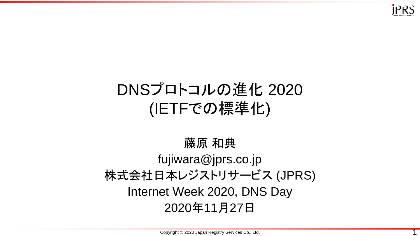

#### DNSプロトコルの進化 2020 (IETFでの標準化)

#### 藤原 和典 fujiwara@jprs.co.jp 株式会社日本レジストリサービス (JPRS) Internet Week 2020, DNS Day 2020年11月27日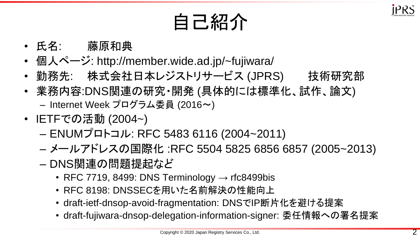

自己紹介

- 氏名: 藤原和典
- 個人ページ: http://member.wide.ad.jp/~fujiwara/
- 勤務先: 株式会社日本レジストリサービス (JPRS) 技術研究部
- 業務内容:DNS関連の研究・開発 (具体的には標準化、試作、論文) – Internet Week プログラム委員 (2016~)
- IETFでの活動 (2004~)
	- ENUMプロトコル: RFC 5483 6116 (2004~2011)
	- メールアドレスの国際化 :RFC 5504 5825 6856 6857 (2005~2013)
	- DNS関連の問題提起など
		- RFC 7719, 8499: DNS Terminology  $\rightarrow$  rfc8499bis
		- RFC 8198: DNSSECを用いた名前解決の性能向上
		- draft-ietf-dnsop-avoid-fragmentation: DNSでIP断片化を避ける提案
		- draft-fujiwara-dnsop-delegation-information-signer: 委任情報への署名提案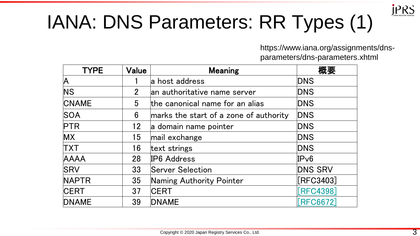

### IANA: DNS Parameters: RR Types (1)

https://www.iana.org/assignments/dnsparameters/dns-parameters.xhtml

| <b>TYPE</b>  | Value          | <b>Meaning</b>                         | 概要              |
|--------------|----------------|----------------------------------------|-----------------|
| A            |                | a host address                         | <b>DNS</b>      |
| <b>NS</b>    | 2 <sup>1</sup> | an authoritative name server           | <b>DNS</b>      |
| <b>CNAME</b> | 5              | the canonical name for an alias        | <b>DNS</b>      |
| <b>SOA</b>   | 6              | marks the start of a zone of authority | <b>DNS</b>      |
| <b>PTR</b>   | 12             | a domain name pointer                  | <b>DNS</b>      |
| MX           | 15             | mail exchange                          | <b>DNS</b>      |
| <b>TXT</b>   | 16             | text strings                           | <b>DNS</b>      |
| AAAA         | 28             | IP6 Address                            | IPv6            |
| <b>SRV</b>   | 33             | <b>Server Selection</b>                | <b>DNS SRV</b>  |
| <b>NAPTR</b> | 35             | Naming Authority Pointer               | $[$ RFC3403 $]$ |
| <b>CERT</b>  | 37             | <b>CERT</b>                            | [RFC4398]       |
| <b>DNAME</b> | 39             | <b>DNAME</b>                           | [RFC6672]       |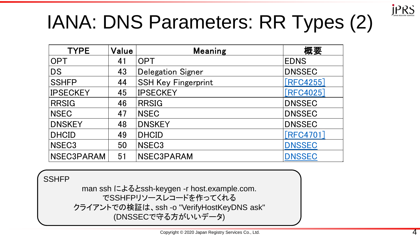

# IANA: DNS Parameters: RR Types (2) **NA: DNS Parameters: RR Types (2)**

| <b>TYPE</b>     | Value | <b>Meaning</b>             | 概要            |
|-----------------|-------|----------------------------|---------------|
| <b>OPT</b>      | 41    | <b>OPT</b>                 | <b>EDNS</b>   |
| <b>DS</b>       | 43    | <b>Delegation Signer</b>   | <b>DNSSEC</b> |
| <b>SSHFP</b>    | 44    | <b>SSH Key Fingerprint</b> | [RFC4255]     |
| <b>IPSECKEY</b> | 45    | <b>IPSECKEY</b>            | [RFC4025]     |
| <b>RRSIG</b>    | 46    | <b>RRSIG</b>               | <b>DNSSEC</b> |
| <b>NSEC</b>     | 47    | <b>NSEC</b>                | <b>DNSSEC</b> |
| <b>DNSKEY</b>   | 48    | <b>DNSKEY</b>              | <b>DNSSEC</b> |
| <b>DHCID</b>    | 49    | <b>DHCID</b>               | [RFC4701]     |
| NSEC3           | 50    | NSEC <sub>3</sub>          | <b>DNSSEC</b> |
| NSEC3PARAM      | 51    | <b>NSEC3PARAM</b>          | <b>DNSSEC</b> |

**SSHFP** 

man ssh によるとssh-keygen -r host.example.com. でSSHFPリソースレコードを作ってくれる クライアントでの検証は、ssh -o "VerifyHostKeyDNS ask" (DNSSECで守る方がいいデータ)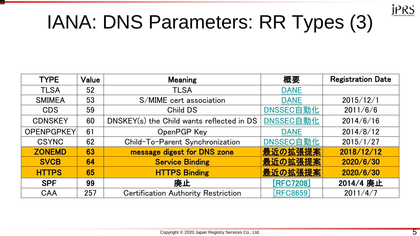

#### IANA: DNS Parameters: RR Types (3)

TYPE VALUE MEANING WAS CITED AND REGISTRATION TLS ASSESSED TO A 1972 FOR A SMIMEA <sup>53</sup> S/MIME cert association DANE 2015/12/1 CDS 59Child DS DNSSEC自動化 2011/6/6 CDNSKEY <sup>60</sup> DNSKEY(s) the Child wants reflected in DS DNSSEC自動化 2014/6/16 OPENPGPKEY <sup>61</sup> OpenPGP Key DANE 2014/8/12 CSYNC <sup>62</sup> Child-To-ParentDNSSEC自動化 2015/1/27 ZONEMD <sup>63</sup> message digest for DNS zone 最近の拡張提案 2018/12/12 SVCB <sup>64</sup> Service Binding 最近の拡張提案 2020/6/30 HTTPS <sup>65</sup> HTTPS Binding 最近の拡張提案 2020/6/30

| <b>TYPE</b>    | Value | <b>Meaning</b>                             | 概要          | <b>Registration Date</b> |
|----------------|-------|--------------------------------------------|-------------|--------------------------|
| <b>TLSA</b>    | 52    | <b>TLSA</b>                                | <b>DANE</b> |                          |
| <b>SMIMEA</b>  | 53    | S/MIME cert association                    | <b>DANE</b> | 2015/12/1                |
| <b>CDS</b>     | 59    | Child DS                                   | DNSSEC自動化   | 2011/6/6                 |
| <b>CDNSKEY</b> | 60    | DNSKEY(s) the Child wants reflected in DS  | DNSSEC自動化   | 2014/6/16                |
| OPENPGPKEY     | 61    | OpenPGP Key                                | <b>DANE</b> | 2014/8/12                |
| <b>CSYNC</b>   | 62    | Child-To-Parent Synchronization            | DNSSEC自動化   | 2015/1/27                |
| <b>ZONEMD</b>  | 63    | message digest for DNS zone                | 最近の拡張提案     | 2018/12/12               |
| <b>SVCB</b>    | 64    | <b>Service Binding</b>                     | 最近の拡張提案     | 2020/6/30                |
| <b>HTTPS</b>   | 65    | <b>HTTPS Binding</b>                       | 最近の拡張提案     | 2020/6/30                |
| <b>SPF</b>     | 99    | 廃止                                         | [RFC7208]   | 2014/4 廃止                |
| <b>CAA</b>     | 257   | <b>Certification Authority Restriction</b> | [RFC8659]   | 2011/4/7                 |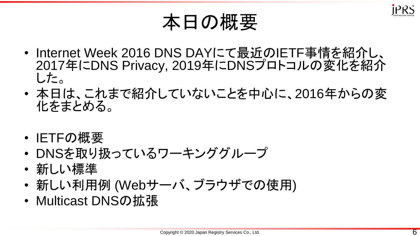

#### 本日の概要

- Internet Week 2016 DNS DAYにて最近のIETF事情を紹介し、 2017年にDNS Privacy, 2019年にDNSプロトコルの変化を紹介 した。
- 本日は、これまで紹介していないことを中心に、2016年からの変 化をまとめる。
- IETFの概要
- DNSを取り扱っているワーキンググループ
- 新しい標準
- 新しい利用例 (Webサーバ、ブラウザでの使用)
- Multicast DNSの拡張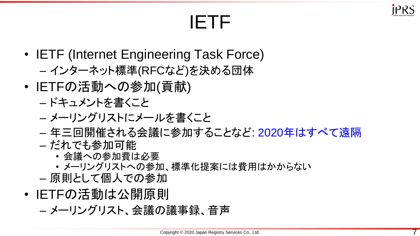

#### IETF

- IETF (Internet Engineering Task Force) – インターネット標準(RFCなど)を決める団体
- IETFの活動への参加(貢献)
	- ドキュメントを書くこと
	- メーリングリストにメールを書くこと
	- 年三回開催される会議に参加することなど: 2020年はすべて遠隔 – だれでも参加可能
		- 会議への参加費は必要
		- メーリングリストへの参加、標準化提案には費用はかからない
	- 原則として個人での参加
- IETFの活動は公開原則
	- メーリングリスト、会議の議事録、音声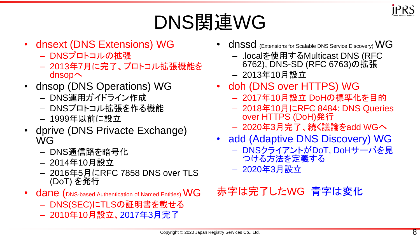

### DNS関連WG

- dnsext (DNS Extensions) WG
	- DNSプロトコルの拡張
	- 2013年7月に完了、プロトコル拡張機能を dnsopへ
- dnsop (DNS Operations) WG
	- DNS運用ガイドライン作成
	- DNSプロトコル拡張を作る機能
	- 1999年以前に設立
- dprive (DNS Privacte Exchange) WG
	- DNS通信路を暗号化
	- 2014年10月設立
	- 2016年5月にRFC 7858 DNS over TLS (DoT) を発行
- dane (DNS-based Authentication of Named Entities) WG
	- DNS(SEC)にTLSの証明書を載せる
	- 2010年10月設立、2017年3月完了
- dnssd (Extensions for Scalable DNS Service Discovery) WG
	- .localを使用するMulticast DNS (RFC 6762), DNS-SD (RFC 6763)の拡張
	- 2013年10月設立
- doh (DNS over HTTPS) WG
	- 2017年10月設立 DoHの標準化を目的
	- 2018年10月にRFC 8484: DNS Queries over HTTPS (DoH)発行
	- 2020年3月完了、続く議論をadd WGへ
- add (Adaptive DNS Discovery) WG
	- DNSクライアントがDoT, DoHサーバを見 つける方法を定義する
	- 2020年3月設立

#### 赤字は完了したWG 青字は変化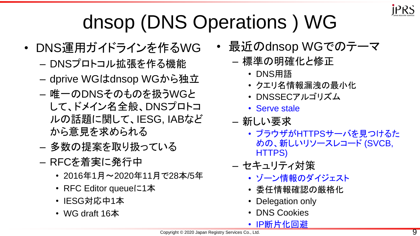

### dnsop (DNS Operations ) WG

- DNS運用ガイドラインを作るWG
	- DNSプロトコル拡張を作る機能
	- dprive WGはdnsop WGから独立
	- 唯一のDNSそのものを扱うWGと して、ドメイン名全般、DNSプロトコ ルの話題に関して、IESG, IABなど から意見を求められる
	- 多数の提案を取り扱っている
	- RFCを着実に発行中
		- 2016年1月~2020年11月で28本/5年
		- RFC Editor queueに1本
		- IESG対応中1本
		- WG draft 16本
- 最近のdnsop WGでのテーマ
	- 標準の明確化と修正
		- DNS用語
		- クエリ名情報漏洩の最小化
		- DNSSECアルゴリズム
		- Serve stale
	- 新しい要求
		- ブラウザがHTTPSサーバを見つけるた めの、新しいリソースレコード (SVCB, HTTPS)
	- セキュリティ対策
		- ゾーン情報のダイジェスト
		- 委任情報確認の厳格化
		- Delegation only
		- DNS Cookies
		- IP断片化回避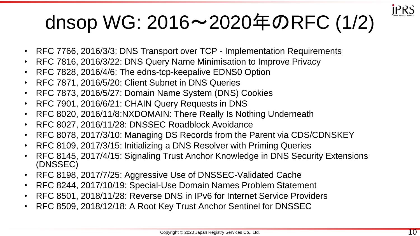

### dnsop WG: 2016~2020年のRFC (1/2)

- RFC 7766, 2016/3/3: DNS Transport over TCP Implementation Requirements
- RFC 7816, 2016/3/22: DNS Query Name Minimisation to Improve Privacy
- RFC 7828, 2016/4/6: The edns-tcp-keepalive EDNS0 Option
- RFC 7871, 2016/5/20: Client Subnet in DNS Queries
- RFC 7873, 2016/5/27: Domain Name System (DNS) Cookies
- RFC 7901, 2016/6/21: CHAIN Query Requests in DNS
- RFC 8020, 2016/11/8:NXDOMAIN: There Really Is Nothing Underneath
- RFC 8027, 2016/11/28: DNSSEC Roadblock Avoidance
- RFC 8078, 2017/3/10: Managing DS Records from the Parent via CDS/CDNSKEY
- RFC 8109, 2017/3/15: Initializing a DNS Resolver with Priming Queries
- RFC 8145, 2017/4/15: Signaling Trust Anchor Knowledge in DNS Security Extensions (DNSSEC)
- RFC 8198, 2017/7/25: Aggressive Use of DNSSEC-Validated Cache
- RFC 8244, 2017/10/19: Special-Use Domain Names Problem Statement
- RFC 8501, 2018/11/28: Reverse DNS in IPv6 for Internet Service Providers
- RFC 8509, 2018/12/18: A Root Key Trust Anchor Sentinel for DNSSEC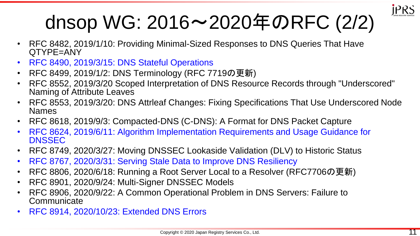

### dnsop WG: 2016~2020年のRFC (2/2)

- RFC 8482, 2019/1/10: Providing Minimal-Sized Responses to DNS Queries That Have QTYPE=ANY
- RFC 8490, 2019/3/15: DNS Stateful Operations
- RFC 8499, 2019/1/2: DNS Terminology (RFC 7719の更新)
- RFC 8552, 2019/3/20 Scoped Interpretation of DNS Resource Records through "Underscored" Naming of Attribute Leaves
- RFC 8553, 2019/3/20: DNS Attrleaf Changes: Fixing Specifications That Use Underscored Node Names
- RFC 8618, 2019/9/3: Compacted-DNS (C-DNS): A Format for DNS Packet Capture
- RFC 8624, 2019/6/11: Algorithm Implementation Requirements and Usage Guidance for **DNSSEC**
- RFC 8749, 2020/3/27: Moving DNSSEC Lookaside Validation (DLV) to Historic Status
- RFC 8767, 2020/3/31: Serving Stale Data to Improve DNS Resiliency
- RFC 8806, 2020/6/18: Running a Root Server Local to a Resolver (RFC7706の更新)
- RFC 8901, 2020/9/24: Multi-Signer DNSSEC Models
- RFC 8906, 2020/9/22: A Common Operational Problem in DNS Servers: Failure to **Communicate**
- RFC 8914, 2020/10/23: Extended DNS Errors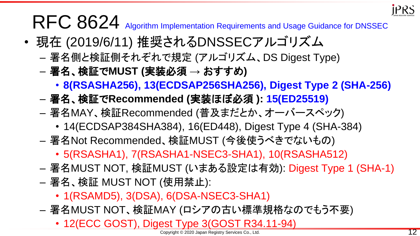

#### RFC 8624 Algorithm Implementation Requirements and Usage Guidance for DNSSEC

- 現在 (2019/6/11) 推奨されるDNSSECアルゴリズム
	- 署名側と検証側それぞれで規定 (アルゴリズム、DS Digest Type)
	- 署名、検証で**MUST (**実装必須 **→** おすすめ**)**
		- **8(RSASHA256), 13(ECDSAP256SHA256), Digest Type 2 (SHA-256)**
	- 署名、検証で**Recommended (**実装ほぼ必須 **): 15(ED25519)**
	- 署名MAY、検証Recommended (普及まだとか、オーバースペック)
		- 14(ECDSAP384SHA384), 16(ED448), Digest Type 4 (SHA-384)
	- 署名Not Recommended、検証MUST (今後使うべきでないもの)
		- 5(RSASHA1), 7(RSASHA1-NSEC3-SHA1), 10(RSASHA512)
	- 署名MUST NOT, 検証MUST (いまある設定は有効): Digest Type 1 (SHA-1)
	- 署名、検証 MUST NOT (使用禁止):
		- 1(RSAMD5), 3(DSA), 6(DSA-NSEC3-SHA1)
	- 署名MUST NOT、検証MAY (ロシアの古い標準規格なのでもう不要)
		- 12(ECC GOST), Digest Type 3(GOST R34.11-94)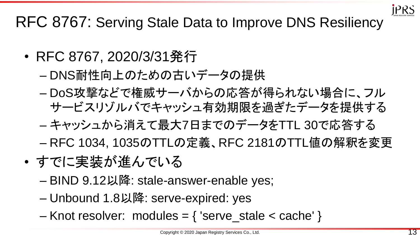

#### RFC 8767: Serving Stale Data to Improve DNS Resiliency

- RFC 8767, 2020/3/31発行
	- DNS耐性向上のための古いデータの提供
	- DoS攻撃などで権威サーバからの応答が得られない場合に、フル サービスリゾルバでキャッシュ有効期限を過ぎたデータを提供する
	- キャッシュから消えて最大7日までのデータをTTL 30で応答する
	- RFC 1034, 1035のTTLの定義、RFC 2181のTTL値の解釈を変更
- すでに実装が進んでいる
	- BIND 9.12以降: stale-answer-enable yes;
	- Unbound 1.8以降: serve-expired: yes
	- Knot resolver: modules =  $\{$  'serve stale < cache'  $\}$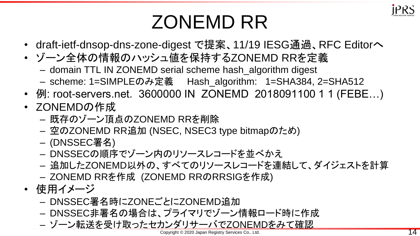

#### ZONEMD RR

- draft-ietf-dnsop-dns-zone-digest で提案、11/19 IESG通過、RFC Editorへ
- ゾーン全体の情報のハッシュ値を保持するZONEMD RRを定義
	- domain TTL IN ZONEMD serial scheme hash\_algorithm digest
	- scheme: 1=SIMPLEのみ定義 Hash\_algorithm: 1=SHA384, 2=SHA512
- 例: root-servers.net. 3600000 IN ZONEMD 2018091100 1 1 (FEBE...)
- ZONEMDの作成
	- 既存のゾーン頂点のZONEMD RRを削除
	- 空のZONEMD RR追加 (NSEC, NSEC3 type bitmapのため)
	- (DNSSEC署名)
	- DNSSECの順序でゾーン内のリソースレコードを並べかえ
	- 追加したZONEMD以外の、すべてのリソースレコードを連結して、ダイジェストを計算
	- ZONEMD RRを作成 (ZONEMD RRのRRSIGを作成)
- 使用イメージ
	- DNSSEC署名時にZONEごとにZONEMD追加
	- DNSSEC非署名の場合は、プライマリでゾーン情報ロード時に作成
	- ゾーン転送を受け取ったセカンダリサーバでZONEMDをみて確認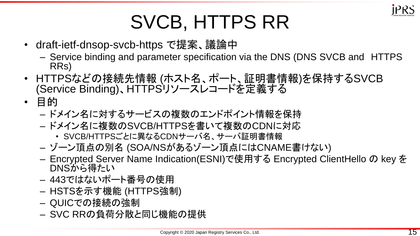

#### SVCB, HTTPS RR

- draft-ietf-dnsop-svcb-https で提案、議論中
	- Service binding and parameter specification via the DNS (DNS SVCB and HTTPS RRs)
- HTTPSなどの接続先情報 (ホスト名、ポート、証明書情報)を保持するSVCB (Service Binding)、HTTPSリソースレコードを定義する
- 目的
	- ドメイン名に対するサービスの複数のエンドポイント情報を保持
	- ドメイン名に複数のSVCB/HTTPSを書いて複数のCDNに対応
		- SVCB/HTTPSごとに異なるCDNサーバ名、サーバ証明書情報
	- ゾーン頂点の別名 (SOA/NSがあるゾーン頂点にはCNAME書けない)
	- Encrypted Server Name Indication(ESNI)で使用する Encrypted ClientHello の key を DNSから得たい
	- 443ではないポート番号の使用
	- HSTSを示す機能 (HTTPS強制)
	- QUICでの接続の強制
	- SVC RRの負荷分散と同じ機能の提供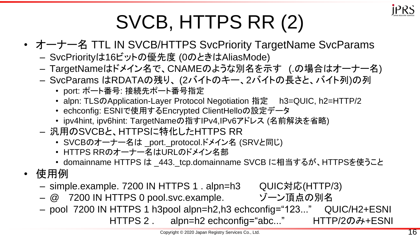

### SVCB, HTTPS RR (2)

- オーナー名 TTL IN SVCB/HTTPS SvcPriority TargetName SvcParams
	- SvcPriorityは16ビットの優先度 (0のときはAliasMode)
	- TargetNameはドメイン名で、CNAMEのような別名を示す (.の場合はオーナー名)
	- SvcParams はRDATAの残り、 (2バイトのキー、2バイトの長さと、バイト列)の列
		- port: ポート番号: 接続先ポート番号指定
		- alpn: TLSのApplication-Layer Protocol Negotiation 指定 h3=QUIC, h2=HTTP/2
		- echconfig: ESNIで使用するEncrypted ClientHelloの設定データ
		- ipv4hint, ipv6hint: TargetNameの指すIPv4,IPv6アドレス (名前解決を省略)
	- 汎用のSVCBと、HTTPSに特化したHTTPS RR
		- SVCBのオーナー名は \_port.\_protocol.ドメイン名 (SRVと同じ)
		- HTTPS RRのオーナー名はURLのドメイン名部
		- domainname HTTPS は \_443.\_tcp.domainname SVCB に相当するが、HTTPSを使うこと
- 使用例
	- simple.example. 7200 IN HTTPS 1 . alpn=h3 QUIC対応(HTTP/3)
	- @ 7200 IN HTTPS 0 pool.svc.example. ゾーン頂点の別名
	- pool 7200 IN HTTPS 1 h3pool alpn=h2,h3 echconfig="123..." QUIC/H2+ESNI HTTPS 2 . alpn=h2 echconfig="abc..." HTTP/2のみ+ESNI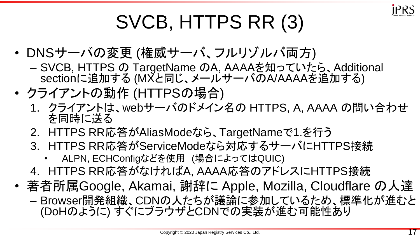

### SVCB, HTTPS RR (3)

- DNSサーバの変更 (権威サーバ、フルリゾルバ両方)
	- SVCB, HTTPS の TargetName のA, AAAAを知っていたら、Additional sectionに追加する (MXと同じ、メールサーバのA/AAAAを追加する)
- クライアントの動作 (HTTPSの場合)
	- 1. クライアントは、webサーバのドメイン名の HTTPS, A, AAAA の問い合わせ を同時に送る
	- 2. HTTPS RR応答がAliasModeなら、TargetNameで1.を行う
	- 3. HTTPS RR応答がServiceModeなら対応するサーバにHTTPS接続
		- ALPN, ECHConfigなどを使用 (場合によってはQUIC)
	- 4. HTTPS RR応答がなければA, AAAA応答のアドレスにHTTPS接続
- 著者所属Google, Akamai, 謝辞に Apple, Mozilla, Cloudflare の人達
	- Browser開発組織、CDNの人たちが議論に参加しているため、標準化が進むと (DoHのように) すぐにブラウザとCDNでの実装が進む可能性あり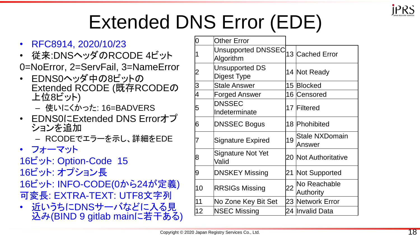

### Extended DNS Error (EDE)

- RFC8914, 2020/10/23
- 従来:DNSヘッダのRCODE 4ビット 0=NoError, 2=ServFail, 3=NameError
- EDNS0ヘッダ中の8ビットの Extended RCODE (既存RCODEの 上位8ビット)
	- 使いにくかった: 16=BADVERS
- EDNS0にExtended DNS Errorオプ ションを追加
	- RCODEでエラーを示し、詳細をEDE
- フォーマット
- 16ビット: Option-Code 15
- 16ビット: オプション長
- 16ビット: INFO-CODE(0から24が定義) 可変長: EXTRA-TEXT: UTF8文字列
- 近いうちにDNSサーバなどに入る見 込み(BIND 9 gitlab mainに若干ある)

| 10             | <b>Other Error</b>                     |    |                                 |
|----------------|----------------------------------------|----|---------------------------------|
| 1              | <b>Unsupported DNSSEC</b><br>Algorithm |    | 13 Cached Error                 |
| $\overline{2}$ | <b>Unsupported DS</b><br>Digest Type   |    | 14 Not Ready                    |
| S              | <b>Stale Answer</b>                    |    | 15 Blocked                      |
| $\overline{4}$ | <b>Forged Answer</b>                   |    | 16 Censored                     |
| 5              | <b>DNSSEC</b><br>Indeterminate         |    | 17 Filtered                     |
| 6              | <b>DNSSEC Bogus</b>                    |    | 18 Phohibited                   |
| 7              | <b>Signature Expired</b>               | 19 | <b>Stale NXDomain</b><br>Answer |
| 8              | Signature Not Yet<br>Valid             |    | 20 Not Authoritative            |
| 9              | <b>DNSKEY Missing</b>                  |    | 21 Not Supported                |
| 10             | <b>RRSIGs Missing</b>                  | 22 | No Reachable<br>Authority       |
| 11             | No Zone Key Bit Set                    |    | 23 Network Error                |
| 12             | <b>NSEC Missing</b>                    |    | 24  Invalid Data                |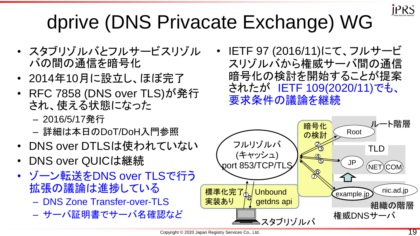

### dprive (DNS Privacate Exchange) WG

- スタブリゾルバとフルサービスリゾル バの間の通信を暗号化
- 2014年10月に設立し、ほぼ完了
- RFC 7858 (DNS over TLS)が発行 され、使える状態になった
	- 2016/5/17発行
	- 詳細は本日のDoT/DoH入門参照
- DNS over DTLSは使われていない
- DNS over QUICは継続
- ゾーン転送をDNS over TLSで行う 拡張の議論は進捗している
	- DNS Zone Transfer-over-TLS
	- サーバ証明書でサーバ名確認など

• IETF 97 (2016/11)にて、フルサービ スリゾルバから権威サーバ間の通信 暗号化の検討を開始することが提案 されたが IETF 109(2020/11)でも、 要求条件の議論を継続

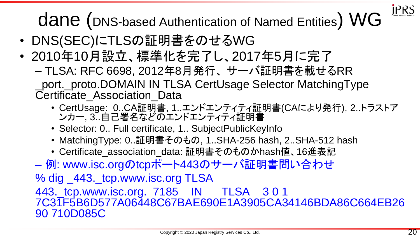dane (DNS-based Authentication of Named Entities) WG

- DNS(SEC)にTLSの証明書をのせるWG
- 2010年10月設立、標準化を完了し、2017年5月に完了 – TLSA: RFC 6698, 2012年8月発行、 サーバ証明書を載せるRR \_port.\_proto.DOMAIN IN TLSA CertUsage Selector MatchingType Certificate\_Association\_Data
	- CertUsage: 0..CA証明書, 1..エンドエンティティ証明書(CAにより発行), 2..トラストア ンカー, 3..自己署名などのエンドエンティティ証明書
	- Selector: 0.. Full certificate, 1.. SubjectPublicKeyInfo
	- MatchingType: 0..証明書そのもの, 1..SHA-256 hash, 2..SHA-512 hash
	- Certificate\_association\_data: 証明書そのものかhash値、16進表記

– 例: www.isc.orgのtcpポート443のサーバ証明書問い合わせ

% dig \_443.\_tcp.www.isc.org TLSA

443.\_tcp.www.isc.org. 7185 IN TLSA 3 0 1 7C31F5B6D577A06448C67BAE690E1A3905CA34146BDA86C664EB26 90 710D085C

**JPRS**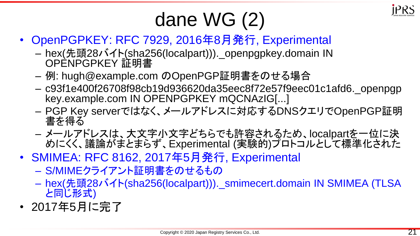

#### dane WG (2)

- OpenPGPKEY: RFC 7929, 2016年8月発行, Experimental
	- hex(先頭28バイト(sha256(localpart))).\_openpgpkey.domain IN OPENPGPKEY 証明書
	- 例: hugh@example.com のOpenPGP証明書をのせる場合
	- c93f1e400f26708f98cb19d936620da35eec8f72e57f9eec01c1afd6.\_openpgp key.example.com IN OPENPGPKEY mQCNAzIG[...]
	- PGP Key serverではなく、メールアドレスに対応するDNSクエリでOpenPGP証明 書を得る
	- メールアドレスは、大文字小文字どちらでも許容されるため、localpartを一位に決 めにくく、議論がまとまらず、Experimental (実験的)プロトコルとして標準化された
- SMIMEA: RFC 8162, 2017年5月発行, Experimental
	- S/MIMEクライアント証明書をのせるもの
	- hex(先頭28バイト(sha256(localpart))).\_smimecert.domain IN SMIMEA (TLSA と同じ形式)
- 2017年5月に完了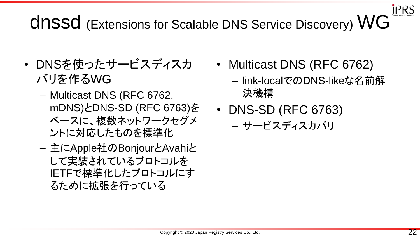#### **JPRS** dnssd (Extensions for Scalable DNS Service Discovery) WG

- DNSを使ったサービスディスカ バリを作るWG
	- Multicast DNS (RFC 6762, mDNS)とDNS-SD (RFC 6763)を ベースに、複数ネットワークセグメ ントに対応したものを標準化
	- 主にApple社のBonjourとAvahiと して実装されているプロトコルを IETFで標準化したプロトコルにす るために拡張を行っている
- Multicast DNS (RFC 6762)
	- link-localでのDNS-likeな名前解 決機構
- DNS-SD (RFC 6763)
	- サービスディスカバリ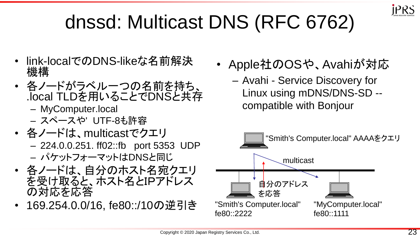

#### dnssd: Multicast DNS (RFC 6762)

- link-localでのDNS-likeな名前解決 機構
- 各ノードがラベル一つの名前を持ち、 .local TLDを用いることでDNSと共存
	- MyComputer.local
	- スペースや' UTF-8も許容
- 各ノードは、multicastでクエリ
	- 224.0.0.251. ff02::fb port 5353 UDP – パケットフォーマットはDNSと同じ
- 各ノードは、自分のホスト名宛クエリ を受け取ると、ホスト名とIPアドレス の対応を応答
- 169.254.0.0/16, fe80::/10の逆引き
- Apple社のOSや、Avahiが対応
	- Avahi Service Discovery for Linux using mDNS/DNS-SD - compatible with Bonjour

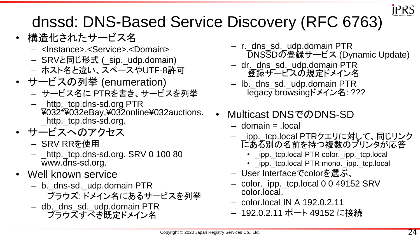

#### dnssd: DNS-Based Service Discovery (RFC 6763)

- 構造化されたサービス名
	- <Instance>.<Service>.<Domain>
	- SRVと同じ形式 (\_sip.\_udp.domain)
	- ホスト名と違い、スペースやUTF-8許可
- サービスの列挙 (enumeration)
	- サービス名に PTRを書き、サービスを列挙
	- \_http.\_tcp.dns-sd.org PTR ¥032\*¥032eBay,¥032online¥032auctions. \_http.\_tcp.dns-sd.org.
- サービスへのアクセス
	- SRV RRを使用
	- \_http.\_tcp.dns-sd.org. SRV 0 100 80 www.dns-sd.org.
- Well known service
	- b.\_dns-sd.\_udp.domain PTR ブラウズ: ドメイン名にあるサービスを列挙
	- db.\_dns\_sd.\_udp.domain PTR ブラウズすべき既定ドメイン名
- r.\_dns\_sd.\_udp.domain PTR DNSSDの登録サービス (Dynamic Update)
- dr.\_dns\_sd.\_udp.domain PTR 登録サービスの規定ドメイン名
- lb.\_dns\_sd.\_udp.domain PTR legacy browsingドメイン名: ???
- Multicast DNSでのDNS-SD
	- $-$  domain  $=$  local
	- \_ipp.\_tcp.local PTRクエリに対して、同じリンク にある別の名前を持つ複数のプリンタが応答
		- \_ipp.\_tcp.local PTR color.\_ipp.\_tcp.local
		- \_ipp.\_tcp.local PTR mono.\_ipp.\_tcp.local
	- User Interfaceでcolorを選ぶ、
	- color.\_ipp.\_tcp.local 0 0 49152 SRV color.local.
	- color.local IN A 192.0.2.11
	- 192.0.2.11 ポート 49152 に接続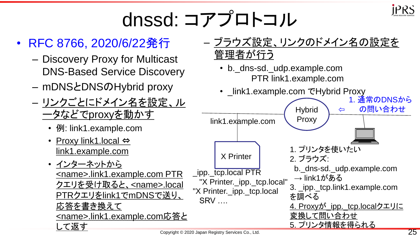

### dnssd: コアプロトコル

#### • RFC 8766, 2020/6/22発行

- Discovery Proxy for Multicast DNS-Based Service Discovery
- mDNSとDNSのHybrid proxy
- リンクごとにドメイン名を設定、ル ータなどでproxyを動かす
	- 例: link1.example.com
	- Proxy link1.local ⇔ link1.example.com
	- インターネットから <name>.link1.example.com PTR クエリを受け取ると、<name>.local PTRクエリをlink1でmDNSで送り、 応答を書き換えて <name>.link1.example.com応答と して返す



- b.\_dns-sd.\_udp.example.com PTR link1.example.com
- \_link1.example.com でHybrid Proxy

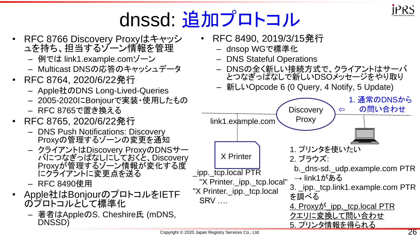

#### dnssd: 追加プロトコル

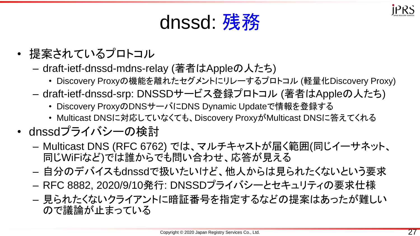#### dnssd: 残務

- 提案されているプロトコル
	- draft-ietf-dnssd-mdns-relay (著者はAppleの人たち)
		- Discovery Proxyの機能を離れたセグメントにリレーするプロトコル (軽量化Discovery Proxy)
	- draft-ietf-dnssd-srp: DNSSDサービス登録プロトコル (著者はAppleの人たち)
		- Discovery ProxyのDNSサーバにDNS Dynamic Updateで情報を登録する
		- Multicast DNSに対応していなくても、Discovery ProxyがMulticast DNSに答えてくれる
- dnssdプライバシーの検討
	- Multicast DNS (RFC 6762) では、マルチキャストが届く範囲(同じイーサネット、 同じWiFiなど)では誰からでも問い合わせ、応答が見える
	- 自分のデバイスもdnssdで扱いたいけど、他人からは見られたくないという要求
	- RFC 8882, 2020/9/10発行: DNSSDプライバシーとセキュリティの要求仕様
	- 見られたくないクライアントに暗証番号を指定するなどの提案はあったが難しい ので議論が止まっている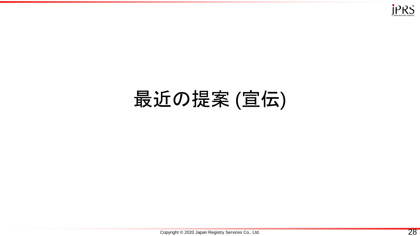

#### 最近の提案 (宣伝)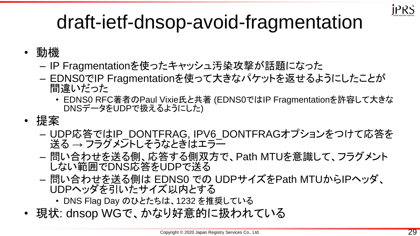

#### draft-ietf-dnsop-avoid-fragmentation

- 動機
	- IP Fragmentationを使ったキャッシュ汚染攻撃が話題になった
	- EDNS0でIP Fragmentationを使って大きなパケットを返せるようにしたことが 間違いだった
		- EDNS0 RFC著者のPaul Vixie氏と共著 (EDNS0ではIP Fragmentationを許容して大きな DNSデータをUDPで扱えるようにした)
- 提案
	- UDP応答ではIP\_DONTFRAG, IPV6\_DONTFRAGオプションをつけて応答を 送る → フラグメントしそうなときはエラー
	- 問い合わせを送る側、応答する側双方で、Path MTUを意識して、フラグメント しない範囲でDNS応答をUDPで送る
	- 問い合わせを送る側は EDNS0 での UDPサイズをPath MTUからIPヘッダ、 UDPヘッダを引いたサイズ以内とする
		- DNS Flag Day のひとたちは、1232 を推奨している
- 現状: dnsop WGで、かなり好意的に扱われている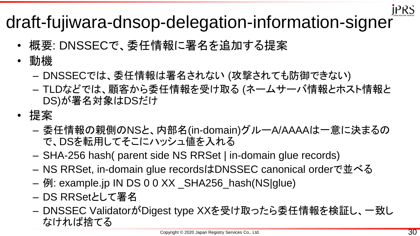

## iers<br>draft-fujiwara-dnsop-delegation-information-signer

- 概要: DNSSECで、委任情報に署名を追加する提案
- 動機
	- DNSSECでは、委任情報は署名されない (攻撃されても防御できない)
	- TLDなどでは、顧客から委任情報を受け取る (ネームサーバ情報とホスト情報と DS)が署名対象はDSだけ
- 提案
	- 委任情報の親側のNSと、内部名(in-domain)グルーA/AAAAは一意に決まるの で、DSを転用してそこにハッシュ値を入れる
	- SHA-256 hash( parent side NS RRSet | in-domain glue records)
	- NS RRSet, in-domain glue recordsはDNSSEC canonical orderで並べる
	- 例: example.jp IN DS 0 0 XX \_SHA256\_hash(NS|glue)
	- DS RRSetとして署名
	- DNSSEC ValidatorがDigest type XXを受け取ったら委任情報を検証し、一致し なければ捨てる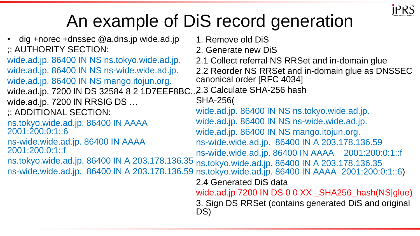

#### An example of DiS record generation

• dig +norec +dnssec @a.dns.jp wide.ad.jp ;; AUTHORITY SECTION: wide.ad.jp. 86400 IN NS ns.tokyo.wide.ad.jp. wide.ad.jp. 86400 IN NS ns-wide.wide.ad.jp. wide.ad.jp. 86400 IN NS mango.itojun.org. wide.ad.jp. 7200 IN DS 32584 8 2 1D7EEF8BC..2.3 Calculate SHA-256 hash wide.ad.jp. 7200 IN RRSIG DS ... ;; ADDITIONAL SECTION: ns.tokyo.wide.ad.jp. 86400 IN AAAA 2001:200:0:1::6 ns-wide.wide.ad.jp. 86400 IN AAAA 2001:200:0:1::f ns.tokyo.wide.ad.jp. 86400 IN A 203.178.136.35 ns-wide.wide.ad.jp. 86400 IN A 203.178.136.59 ns.tokyo.wide.ad.jp. 86400 IN AAAA 2001:200:0:1::6) 1. Remove old DiS 2. Generate new DiS 2.1 Collect referral NS RRSet and in-domain glue 2.2 Reorder NS RRSet and in-domain glue as DNSSEC canonical order [RFC 4034] SHA-256( wide.ad.jp. 86400 IN NS ns.tokyo.wide.ad.jp. wide.ad.jp. 86400 IN NS ns-wide.wide.ad.jp. wide.ad.jp. 86400 IN NS mango.itojun.org. ns-wide.wide.ad.jp. 86400 IN A 203.178.136.59 ns-wide.wide.ad.jp. 86400 IN AAAA 2001:200:0:1::f ns.tokyo.wide.ad.jp. 86400 IN A 203.178.136.35 2.4 Generated DiS data wide.ad.jp 7200 IN DS 0 0 XX \_SHA256\_hash(NS|glue) 3. Sign DS RRSet (contains generated DiS and original DS)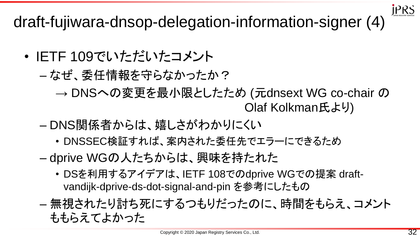**JPRS** 

draft-fujiwara-dnsop-delegation-information-signer (4)

- IETF 109でいただいたコメント
	- なぜ、委任情報を守らなかったか?
		- → DNSへの変更を最小限としたため (元dnsext WG co-chair の Olaf Kolkman氏より)
	- DNS関係者からは、嬉しさがわかりにくい
		- DNSSEC検証すれば、案内された委任先でエラーにできるため
	- dprive WGの人たちからは、興味を持たれた
		- DSを利用するアイデアは、IETF 108でのdprive WGでの提案 draftvandijk-dprive-ds-dot-signal-and-pin を参考にしたもの
	- 無視されたり討ち死にするつもりだったのに、時間をもらえ、コメント ももらえてよかった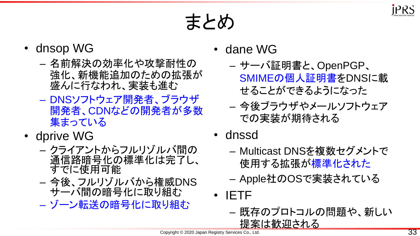

#### まとめ

- dnsop WG
	- 名前解決の効率化や攻撃耐性の 強化、新機能追加のための拡張が 盛んに行なわれ、実装も進む
	- DNSソフトウェア開発者、ブラウザ 開発者、CDNなどの開発者が多数 集まっている
- dprive WG
	- クライアントからフルリゾルバ間の 通信路暗号化の標準化は完了し、 すでに使用可能
	- 今後、フルリゾルバから権威DNS サーバ間の暗号化に取り組む
	- ゾーン転送の暗号化に取り組む
- dane WG
	- サーバ証明書と、OpenPGP、 SMIMEの個人証明書をDNSに載 せることができるようになった
	- 今後ブラウザやメールソフトウェア での実装が期待される
- dnssd
	- Multicast DNSを複数セグメントで 使用する拡張が標準化された
	- Apple社のOSで実装されている
- IETF
	- 既存のプロトコルの問題や、新しい 提案は歓迎される